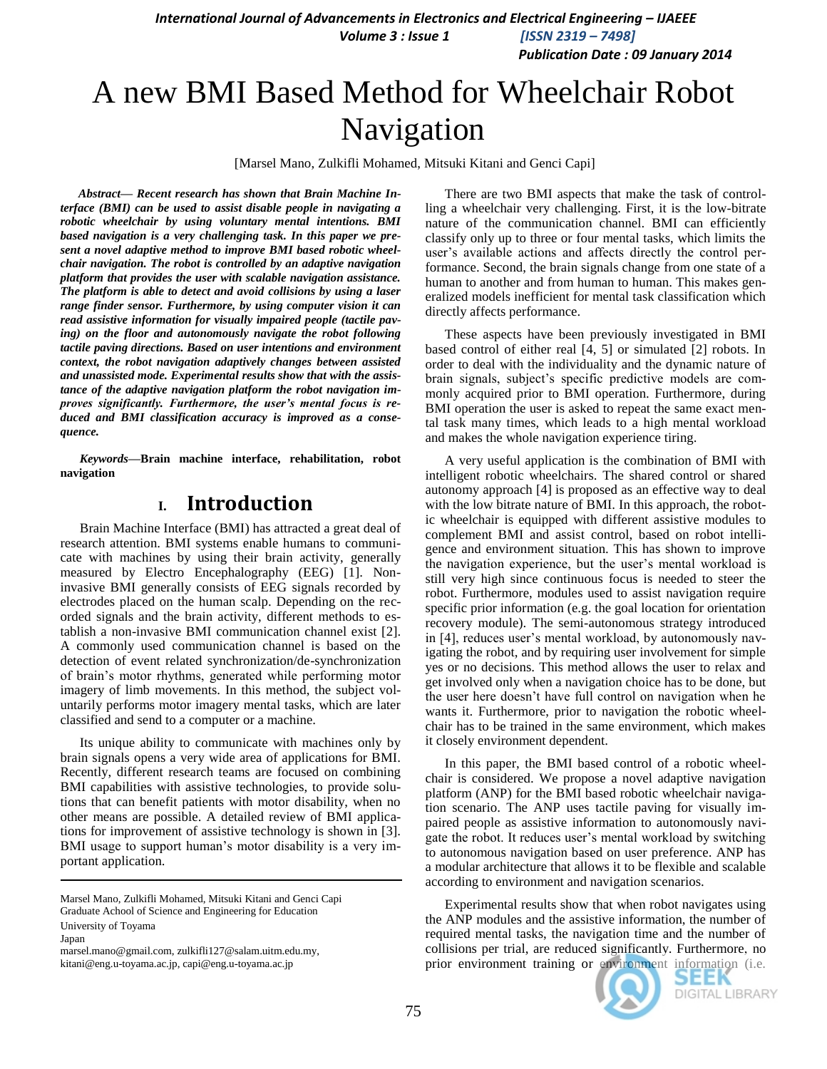*Publication Date : 09 January 2014*

# A new BMI Based Method for Wheelchair Robot Navigation

[Marsel Mano, Zulkifli Mohamed, Mitsuki Kitani and Genci Capi]

*Abstract***—** *Recent research has shown that Brain Machine Interface (BMI) can be used to assist disable people in navigating a robotic wheelchair by using voluntary mental intentions. BMI based navigation is a very challenging task. In this paper we present a novel adaptive method to improve BMI based robotic wheelchair navigation. The robot is controlled by an adaptive navigation platform that provides the user with scalable navigation assistance. The platform is able to detect and avoid collisions by using a laser range finder sensor. Furthermore, by using computer vision it can read assistive information for visually impaired people (tactile paving) on the floor and autonomously navigate the robot following tactile paving directions. Based on user intentions and environment context, the robot navigation adaptively changes between assisted and unassisted mode. Experimental results show that with the assistance of the adaptive navigation platform the robot navigation improves significantly. Furthermore, the user's mental focus is reduced and BMI classification accuracy is improved as a consequence.*

*Keywords—***Brain machine interface, rehabilitation, robot navigation**

## **I. Introduction**

Brain Machine Interface (BMI) has attracted a great deal of research attention. BMI systems enable humans to communicate with machines by using their brain activity, generally measured by Electro Encephalography (EEG) [1]. Noninvasive BMI generally consists of EEG signals recorded by electrodes placed on the human scalp. Depending on the recorded signals and the brain activity, different methods to establish a non-invasive BMI communication channel exist [2]. A commonly used communication channel is based on the detection of event related synchronization/de-synchronization of brain"s motor rhythms, generated while performing motor imagery of limb movements. In this method, the subject voluntarily performs motor imagery mental tasks, which are later classified and send to a computer or a machine.

Its unique ability to communicate with machines only by brain signals opens a very wide area of applications for BMI. Recently, different research teams are focused on combining BMI capabilities with assistive technologies, to provide solutions that can benefit patients with motor disability, when no other means are possible. A detailed review of BMI applications for improvement of assistive technology is shown in [3]. BMI usage to support human's motor disability is a very important application.

Marsel Mano, Zulkifli Mohamed, Mitsuki Kitani and Genci Capi Graduate Achool of Science and Engineering for Education

University of Toyama

Japan

marsel.mano@gmail.com, zulkifli127@salam.uitm.edu.my, kitani@eng.u-toyama.ac.jp, capi@eng.u-toyama.ac.jp

There are two BMI aspects that make the task of controlling a wheelchair very challenging. First, it is the low-bitrate nature of the communication channel. BMI can efficiently classify only up to three or four mental tasks, which limits the user's available actions and affects directly the control performance. Second, the brain signals change from one state of a human to another and from human to human. This makes generalized models inefficient for mental task classification which directly affects performance.

These aspects have been previously investigated in BMI based control of either real [4, 5] or simulated [2] robots. In order to deal with the individuality and the dynamic nature of brain signals, subject's specific predictive models are commonly acquired prior to BMI operation. Furthermore, during BMI operation the user is asked to repeat the same exact mental task many times, which leads to a high mental workload and makes the whole navigation experience tiring.

A very useful application is the combination of BMI with intelligent robotic wheelchairs. The shared control or shared autonomy approach [4] is proposed as an effective way to deal with the low bitrate nature of BMI. In this approach, the robotic wheelchair is equipped with different assistive modules to complement BMI and assist control, based on robot intelligence and environment situation. This has shown to improve the navigation experience, but the user"s mental workload is still very high since continuous focus is needed to steer the robot. Furthermore, modules used to assist navigation require specific prior information (e.g. the goal location for orientation recovery module). The semi-autonomous strategy introduced in [4], reduces user's mental workload, by autonomously navigating the robot, and by requiring user involvement for simple yes or no decisions. This method allows the user to relax and get involved only when a navigation choice has to be done, but the user here doesn"t have full control on navigation when he wants it. Furthermore, prior to navigation the robotic wheelchair has to be trained in the same environment, which makes it closely environment dependent.

In this paper, the BMI based control of a robotic wheelchair is considered. We propose a novel adaptive navigation platform (ANP) for the BMI based robotic wheelchair navigation scenario. The ANP uses tactile paving for visually impaired people as assistive information to autonomously navigate the robot. It reduces user's mental workload by switching to autonomous navigation based on user preference. ANP has a modular architecture that allows it to be flexible and scalable according to environment and navigation scenarios.

Experimental results show that when robot navigates using the ANP modules and the assistive information, the number of required mental tasks, the navigation time and the number of collisions per trial, are reduced significantly. Furthermore, no prior environment training or environment information (i.e.

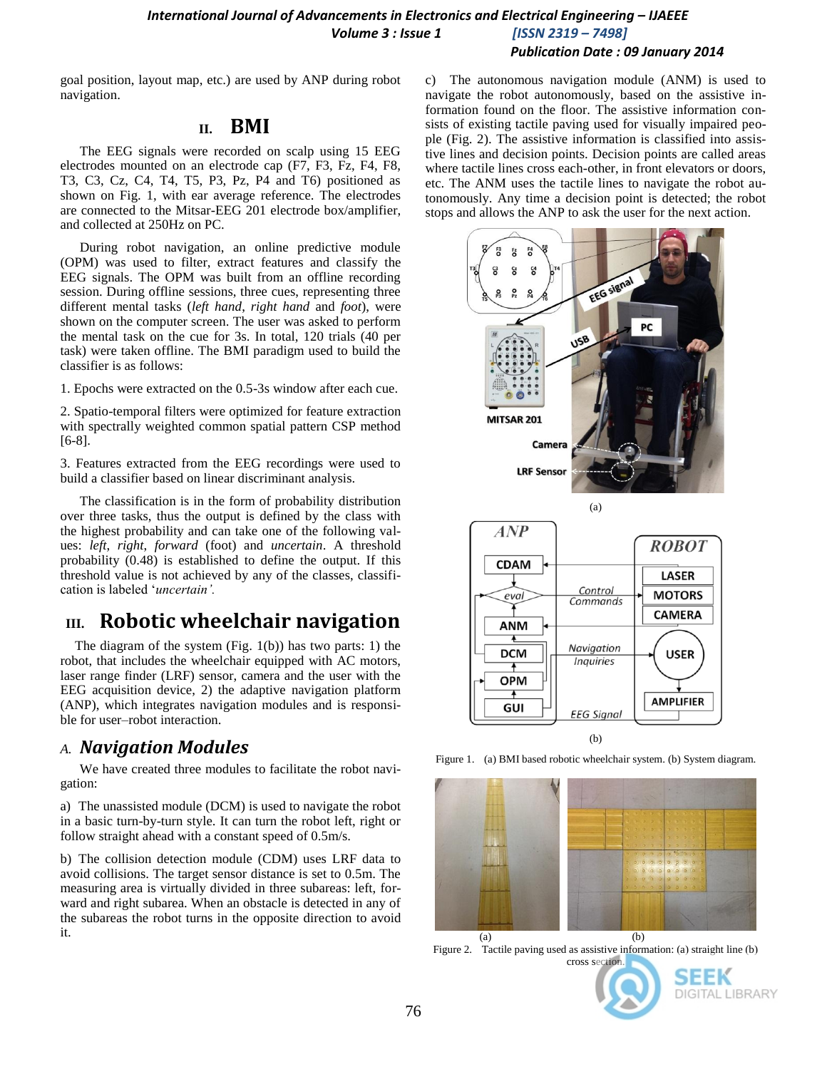#### *International Journal of Advancements in Electronics and Electrical Engineering – IJAEEE Volume 3 : Issue 1 [ISSN 2319 – 7498] Publication Date : 09 January 2014*

goal position, layout map, etc.) are used by ANP during robot navigation.

#### **II. BMI**

The EEG signals were recorded on scalp using 15 EEG electrodes mounted on an electrode cap (F7, F3, Fz, F4, F8, T3, C3, Cz, C4, T4, T5, P3, Pz, P4 and T6) positioned as shown on Fig. 1, with ear average reference. The electrodes are connected to the Mitsar-EEG 201 electrode box/amplifier, and collected at 250Hz on PC.

During robot navigation, an online predictive module (OPM) was used to filter, extract features and classify the EEG signals. The OPM was built from an offline recording session. During offline sessions, three cues, representing three different mental tasks (*left hand*, *right hand* and *foot*), were shown on the computer screen. The user was asked to perform the mental task on the cue for 3s. In total, 120 trials (40 per task) were taken offline. The BMI paradigm used to build the classifier is as follows:

1. Epochs were extracted on the 0.5-3s window after each cue.

2. Spatio-temporal filters were optimized for feature extraction with spectrally weighted common spatial pattern CSP method [6-8].

3. Features extracted from the EEG recordings were used to build a classifier based on linear discriminant analysis.

The classification is in the form of probability distribution over three tasks, thus the output is defined by the class with the highest probability and can take one of the following values: *left*, *right*, *forward* (foot) and *uncertain*. A threshold probability (0.48) is established to define the output. If this threshold value is not achieved by any of the classes, classification is labeled "*uncertain'.*

## **III. Robotic wheelchair navigation**

The diagram of the system (Fig. 1(b)) has two parts: 1) the robot, that includes the wheelchair equipped with AC motors, laser range finder (LRF) sensor, camera and the user with the EEG acquisition device, 2) the adaptive navigation platform (ANP), which integrates navigation modules and is responsible for user–robot interaction.

## *A. Navigation Modules*

We have created three modules to facilitate the robot navigation:

a) The unassisted module (DCM) is used to navigate the robot in a basic turn-by-turn style. It can turn the robot left, right or follow straight ahead with a constant speed of 0.5m/s.

b) The collision detection module (CDM) uses LRF data to avoid collisions. The target sensor distance is set to 0.5m. The measuring area is virtually divided in three subareas: left, forward and right subarea. When an obstacle is detected in any of the subareas the robot turns in the opposite direction to avoid it.

c) The autonomous navigation module (ANM) is used to navigate the robot autonomously, based on the assistive information found on the floor. The assistive information consists of existing tactile paving used for visually impaired people (Fig. 2). The assistive information is classified into assistive lines and decision points. Decision points are called areas where tactile lines cross each-other, in front elevators or doors, etc. The ANM uses the tactile lines to navigate the robot autonomously. Any time a decision point is detected; the robot stops and allows the ANP to ask the user for the next action.



Figure 1. (a) BMI based robotic wheelchair system. (b) System diagram.



Figure 2. Tactile paving used as assistive information: (a) straight line (b) cross section.



SEEK DIGITAL LIBRARY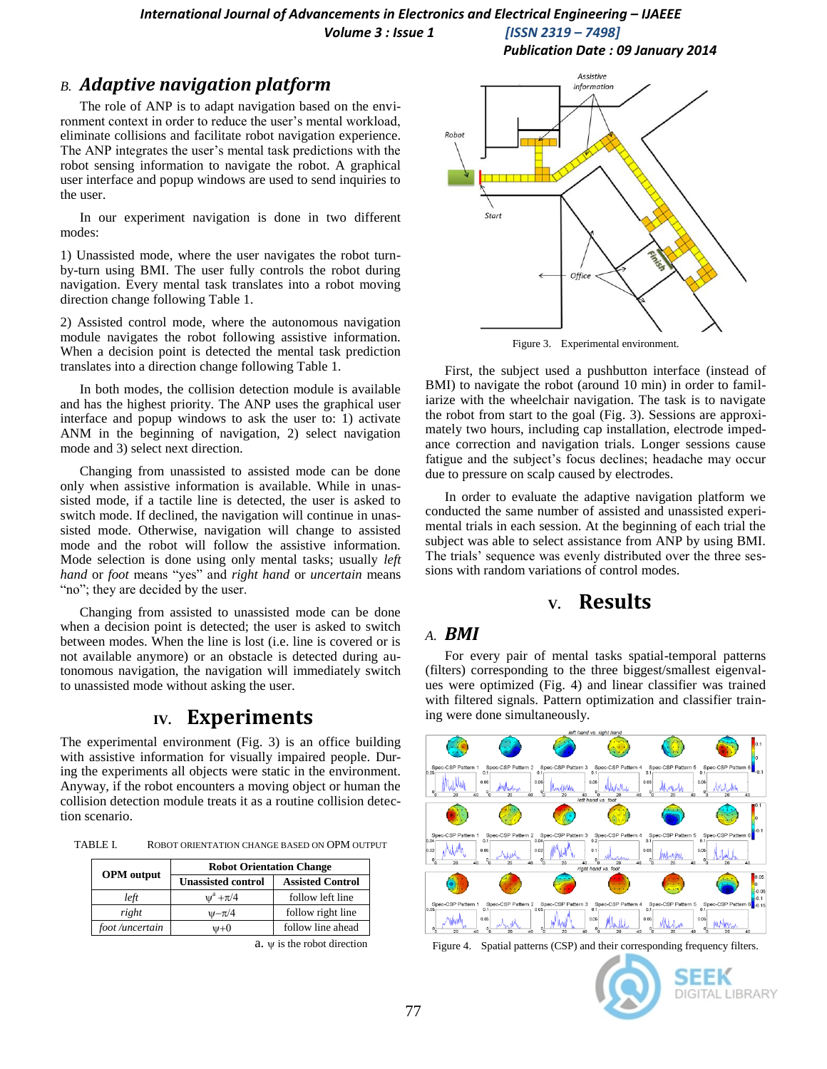#### *International Journal of Advancements in Electronics and Electrical Engineering - IJAEEE Volume 3 : Issue 1 [ISSN 2319 – 7498]*

#### *B. Adaptive navigation platform*

The role of ANP is to adapt navigation based on the environment context in order to reduce the user's mental workload. eliminate collisions and facilitate robot navigation experience. The ANP integrates the user"s mental task predictions with the robot sensing information to navigate the robot. A graphical user interface and popup windows are used to send inquiries to the user.

In our experiment navigation is done in two different modes:

1) Unassisted mode, where the user navigates the robot turnby-turn using BMI. The user fully controls the robot during navigation. Every mental task translates into a robot moving direction change following Table 1.

2) Assisted control mode, where the autonomous navigation module navigates the robot following assistive information. When a decision point is detected the mental task prediction translates into a direction change following Table 1.

In both modes, the collision detection module is available and has the highest priority. The ANP uses the graphical user interface and popup windows to ask the user to: 1) activate ANM in the beginning of navigation, 2) select navigation mode and 3) select next direction.

Changing from unassisted to assisted mode can be done only when assistive information is available. While in unassisted mode, if a tactile line is detected, the user is asked to switch mode. If declined, the navigation will continue in unassisted mode. Otherwise, navigation will change to assisted mode and the robot will follow the assistive information. Mode selection is done using only mental tasks; usually *left hand* or *foot* means "yes" and *right hand* or *uncertain* means "no"; they are decided by the user.

Changing from assisted to unassisted mode can be done when a decision point is detected; the user is asked to switch between modes. When the line is lost (i.e. line is covered or is not available anymore) or an obstacle is detected during autonomous navigation, the navigation will immediately switch to unassisted mode without asking the user.

### **IV. Experiments**

The experimental environment (Fig. 3) is an office building with assistive information for visually impaired people. During the experiments all objects were static in the environment. Anyway, if the robot encounters a moving object or human the collision detection module treats it as a routine collision detection scenario.

TABLE I. ROBOT ORIENTATION CHANGE BASED ON OPM OUTPUT

|                   | <b>Robot Orientation Change</b> |                         |  |  |  |
|-------------------|---------------------------------|-------------------------|--|--|--|
| <b>OPM</b> output | <b>Unassisted control</b>       | <b>Assisted Control</b> |  |  |  |
| left              | $u^a + \pi/4$                   | follow left line        |  |  |  |
| right             | $w - \pi/4$                     | follow right line       |  |  |  |
| foot/uncertain    | ψ+0                             | follow line ahead       |  |  |  |

a.  $\psi$  is the robot direction



*Publication Date : 09 January 2014*

Figure 3. Experimental environment.

First, the subject used a pushbutton interface (instead of BMI) to navigate the robot (around 10 min) in order to familiarize with the wheelchair navigation. The task is to navigate the robot from start to the goal (Fig. 3). Sessions are approximately two hours, including cap installation, electrode impedance correction and navigation trials. Longer sessions cause fatigue and the subject"s focus declines; headache may occur due to pressure on scalp caused by electrodes.

In order to evaluate the adaptive navigation platform we conducted the same number of assisted and unassisted experimental trials in each session. At the beginning of each trial the subject was able to select assistance from ANP by using BMI. The trials' sequence was evenly distributed over the three sessions with random variations of control modes.

## **V. Results**

#### *A. BMI*

For every pair of mental tasks spatial-temporal patterns (filters) corresponding to the three biggest/smallest eigenvalues were optimized (Fig. 4) and linear classifier was trained with filtered signals. Pattern optimization and classifier training were done simultaneously.



Figure 4. Spatial patterns (CSP) and their corresponding frequency filters.

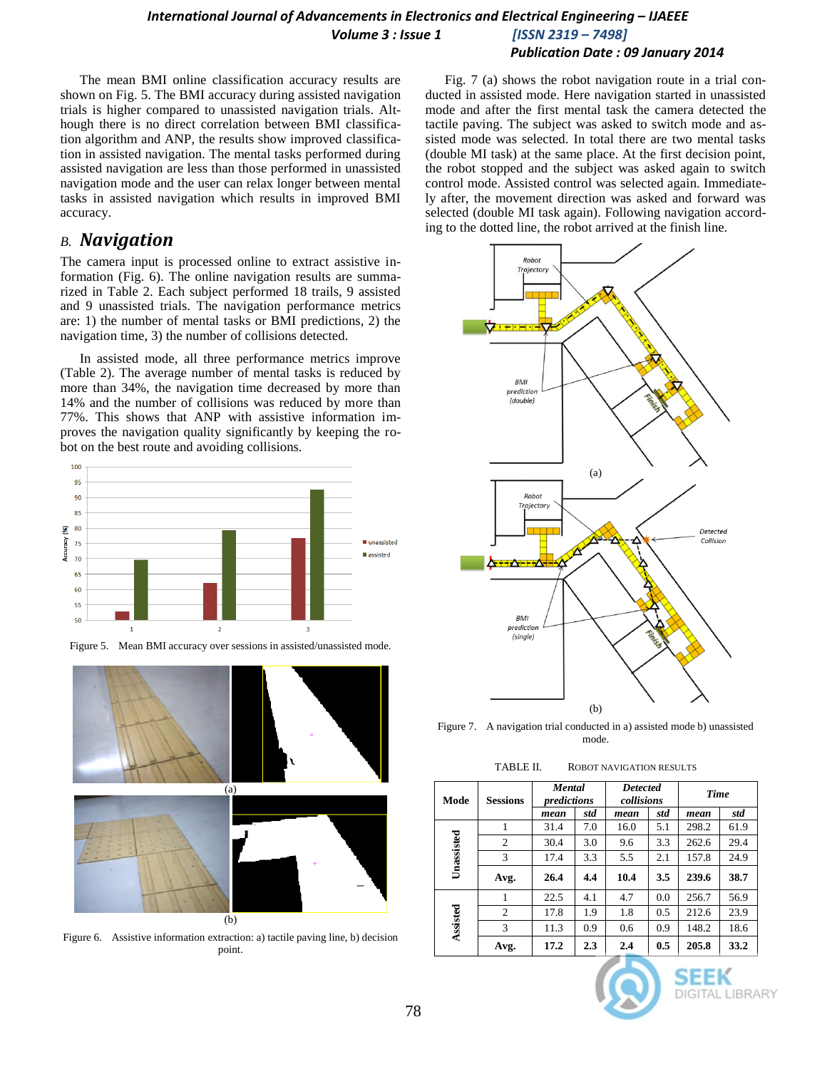## *International Journal of Advancements in Electronics and Electrical Engineering – IJAEEE Volume 3 : Issue 1 [ISSN 2319 – 7498]*

*Publication Date : 09 January 2014*

The mean BMI online classification accuracy results are shown on Fig. 5. The BMI accuracy during assisted navigation trials is higher compared to unassisted navigation trials. Although there is no direct correlation between BMI classification algorithm and ANP, the results show improved classification in assisted navigation. The mental tasks performed during assisted navigation are less than those performed in unassisted navigation mode and the user can relax longer between mental tasks in assisted navigation which results in improved BMI accuracy.

## *B. Navigation*

The camera input is processed online to extract assistive information (Fig. 6). The online navigation results are summarized in Table 2. Each subject performed 18 trails, 9 assisted and 9 unassisted trials. The navigation performance metrics are: 1) the number of mental tasks or BMI predictions, 2) the navigation time, 3) the number of collisions detected.

In assisted mode, all three performance metrics improve (Table 2). The average number of mental tasks is reduced by more than 34%, the navigation time decreased by more than 14% and the number of collisions was reduced by more than 77%. This shows that ANP with assistive information improves the navigation quality significantly by keeping the robot on the best route and avoiding collisions.



Figure 5. Mean BMI accuracy over sessions in assisted/unassisted mode.



Figure 6. Assistive information extraction: a) tactile paving line, b) decision point.

Fig. 7 (a) shows the robot navigation route in a trial conducted in assisted mode. Here navigation started in unassisted mode and after the first mental task the camera detected the tactile paving. The subject was asked to switch mode and assisted mode was selected. In total there are two mental tasks (double MI task) at the same place. At the first decision point, the robot stopped and the subject was asked again to switch control mode. Assisted control was selected again. Immediately after, the movement direction was asked and forward was selected (double MI task again). Following navigation according to the dotted line, the robot arrived at the finish line.



Figure 7. A navigation trial conducted in a) assisted mode b) unassisted mode.

| Mode       | <b>Sessions</b> | <b>Mental</b><br>predictions |     | <b>Detected</b><br>collisions |     | <b>Time</b> |      |
|------------|-----------------|------------------------------|-----|-------------------------------|-----|-------------|------|
|            |                 | mean                         | std | mean                          | std | mean        | std  |
| Unassisted | 1               | 31.4                         | 7.0 | 16.0                          | 5.1 | 298.2       | 61.9 |
|            | $\overline{2}$  | 30.4                         | 3.0 | 9.6                           | 3.3 | 262.6       | 29.4 |
|            | 3               | 17.4                         | 3.3 | 5.5                           | 2.1 | 157.8       | 24.9 |
|            | Avg.            | 26.4                         | 4.4 | 10.4                          | 3.5 | 239.6       | 38.7 |
| Assisted   | 1               | 22.5                         | 4.1 | 4.7                           | 0.0 | 256.7       | 56.9 |
|            | $\overline{c}$  | 17.8                         | 1.9 | 1.8                           | 0.5 | 212.6       | 23.9 |
|            | 3               | 11.3                         | 0.9 | 0.6                           | 0.9 | 148.2       | 18.6 |
|            | Avg.            | 17.2                         | 2.3 | 2.4                           | 0.5 | 205.8       | 33.2 |